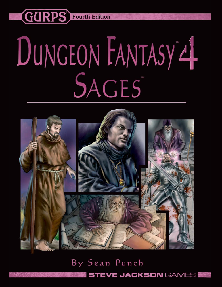# DUNGEON FANTASY 4 SAGES

**GURPS** Fourth Edition



# By Sean Punch

**STEVE JACKSON GAMES** 

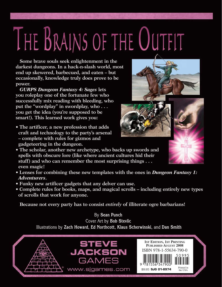# THE BRAINS OF THE OUTFIT

**Some brave souls seek enlightenment in the darkest dungeons. In a hack-n-slash world, most end up skewered, barbecued, and eaten – but occasionally, knowledge truly does prove to be power.**

*GURPS Dungeon Fantasy 4: Sages* **lets you roleplay one of the fortunate few who successfully mix reading with bleeding, who put the "wordplay" in swordplay, who . . . you get the idea (you're supposed to be smart!). This learned work gives you:**

- **The artificer, a new profession that adds craft and technology to the party's arsenal – complete with rules for gizmos and gadgeteering in the dungeon.**
- **The scholar, another new archetype, who backs up swords and spells with obscure lore (like where ancient cultures hid their stuff) and who can remember the most surprising things . . . even magic!**
- **Lenses for combining these new templates with the ones in** *Dungeon Fantasy 1: Adventurers***.**
- **Funky new artificer gadgets that any delver can use.**
- **Complete rules for books, maps, and magical scrolls including entirely new types of scrolls that work for anyone.**

**Because not every party has to consist** *entirely* **of illiterate ogre barbarians!**

By **Sean Punch** Cover Art by **Bob Stevlic** Illustrations by **Zach Howard, Ed Northcott, Klaus Scherwinski,** and **Dan Smith**

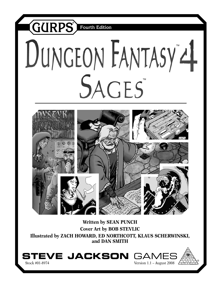



**Written by SEAN PUNCH Cover Art by BOB STEVLIC Illustrated by ZACH HOWARD, ED NORTHCOTT, KLAUS SCHERWINSKI, and DAN SMITH**



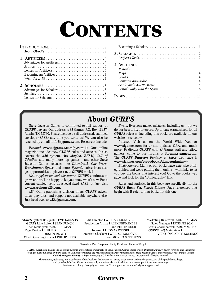# CONTENTS

| Gettin' Funky with the Stylus 16 |  |  |  |  |  |  |  |  |  |  |  |
|----------------------------------|--|--|--|--|--|--|--|--|--|--|--|
|                                  |  |  |  |  |  |  |  |  |  |  |  |

## About *GURPS*

Steve Jackson Games is committed to full support of *GURPS* players. Our address is SJ Games, P.O. Box 18957, Austin, TX 78760. Please include a self-addressed, stamped envelope (SASE) any time you write us! We can also be reached by e-mail: **info@sjgames.com**. Resources include:

*Pyramid* (**www.sjgames.com/pyramid**). Our online magazine includes new *GURPS* rules and articles. It also covers the *d20* system*, Ars Magica, BESM, Call of Cthulhu,* and many more top games – and other Steve Jackson Games releases like *Illuminati, Car Wars, Transhuman Space,* and more. *Pyramid* subscribers also get opportunities to playtest new *GURPS* books!

*New supplements and adventures. GURPS* continues to grow, and we'll be happy to let you know what's new. For a current catalog, send us a legal-sized SASE, or just visit **www.warehouse23.com**.

*e23.* Our e-publishing division offers *GURPS* adventures, play aids, and support not available anywhere else! Just head over to **e23.sjgames.com**.

*Errata.* Everyone makes mistakes, including us – but we do our best to fix our errors. Up-to-date errata sheets for all *GURPS* releases, including this book, are available on our website – see below.

*Internet.* Visit us on the World Wide Web at **www.sjgames.com** for errata, updates, Q&A, and much more. To discuss *GURPS* with SJ Games staff and fellow gamers, come to our forums at **forums.sjgames.com**. The *GURPS Dungeon Fantasy 4: Sages* web page is **www.sjgames.com/gurps/books/dungeonfantasy4**.

*Bibliographies.* Many of our books have extensive bibliographies, and we're putting them online – with links to let you buy the books that interest you! Go to the book's web page and look for the "Bibliography" link.

Rules and statistics in this book are specifically for the *GURPS Basic Set, Fourth Edition.* Page references that begin with B refer to that book, not this one.

*GURPS* System Design ❚ STEVE JACKSON *GURPS* Line Editor ❚ SEAN PUNCH e23 Manager ❚ PAUL CHAPMAN Page Design ∎ PHILIP REED and JUSTIN DE WITT Chief Operating Officer ❚ PHILIP REED

Art Director ❚ WILL SCHOONOVER Production Artists ❚ ALEX FERNANDEZ and PHILIP REED Indexer ❚ THOMAS WEIGEL Prepress Checkers ❚ WILL SCHOONOVER and MONICA STEPHENS Marketing Director ❚ PAUL CHAPMAN Sales Manager ❚ ROSS JEPSON Errata Coordinator ❚ FADE MANLEY *GURPS* FAQ Maintainer ❚ VICKY "MOLOKH" KOLENKO

*Playtesters:* Paul Chapman, Philip Reed, and Thomas Weigel.

*GURPS*, Warehouse 23, and the all-seeing pyramid are registered trademarks of Steve Jackson Games Incorporated. *Dungeon Fantasy, Sages, Pyramid,* and the names of all products published by Steve Jackson Games Incorporated are registered trademarks or trademarks of Steve Jackson Games Incorporated, or used under license. *GURPS Dungeon Fantasy 4: Sages* is copyright © 2008 by Steve Jackson Games Incorporated. All rights reserved.

The scanning, uploading, and distribution of this book via the Internet or via any other means without the permission of the publisher is illegal, and punishable by law. Please purchase only authorized electronic editions, and do not participate in or encourage the electronic piracy of copyrighted materials. Your support of the author's rights is appreciated.

#### **2** CONTENTS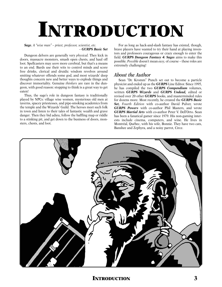# INTRODUCTION

#### *Sage. A "wise man" – priest, professor, scientist, etc. – GURPS Basic Set*

Dungeon delvers are generally very *physical.* They kick in doors, massacre monsters, smash open chests, and haul off loot. Spellcasters may *seem* more cerebral, but that's a means to an end. Bards use their wits to control minds and score free drinks, clerical and druidic wisdom revolves around smiting whatever offends some god, and most wizards' deep thoughts concern new and better ways to explode things and discover immortality. Genuine *thinkers* are rare in the dungeon, with good reason: stopping to think is a great way to get eaten!

Thus, the sage's role in dungeon fantasy is traditionally played by NPCs: village wise women, mysterious old men at taverns, spacey priestesses, and pipe-smoking academics from the temple and the Wizards' Guild. The heroes meet such folk in town and listen to their tales of fantastic wealth and grave danger. Then they bid adieu, follow the baffling map or riddle to a stinking pit, and get down to the business of doors, monsters, chests, and loot.

For as long as hack-and-slash fantasy has existed, though, brave players have wanted to try their hand at playing inventors and professors courageous or crazy enough to enter the field. *GURPS Dungeon Fantasy 4: Sages* aims to make this possible. *Possible* doesn't mean *easy,* of course – these roles are extremely challenging!

#### *About the Author*

Sean "Dr. Kromm" Punch set out to become a particle physicist and ended up as the *GURPS* Line Editor. Since 1995, he has compiled the two *GURPS Compendium* volumes, written *GURPS Wizards* and *GURPS Undead,* edited or revised over 20 other *GURPS* books, and masterminded rules for dozens more. Most recently, he created the *GURPS Basic Set, Fourth Edition* with co-author David Pulver, wrote *GURPS Powers* with co-author Phil Masters, and wrote *GURPS Martial Arts* with co-author Peter V. Dell'Orto. Sean has been a fanatical gamer since 1979. His non-gaming interests include cinema, computers, and wine. He lives in Montréal, Québec, with his wife, Bonnie. They have two cats, Banshee and Zephyra, and a noisy parrot, Circe.

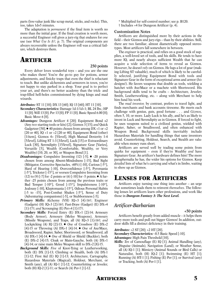parts (low-value junk like scrap metal, sticks, and rocks). This, too, takes 1d×5 minutes.

The adaptation is *permanent* if the final item is worth no more than the initial gear. If the final creation is worth more, a successful Engineer roll gives a jury-rig that endures for *one* use (see *What Use Is It?,* p. 7). The original components are always recoverable unless the Engineer roll was a critical failure, which destroys them.

### **ARTIFICER**

#### **250 points**

Every delver loves wonderful toys – and *you* are the one who makes them! You're the go-to guy for potions, armor adjustments, and finicky traps that even the thief is reluctant to touch. But unlike alchemists and armorers in town, you're not happy to stay parked in a shop. Your goal is to perfect your art, and there's no better academy than the trick- and trap-filled hell-holes commissioned by dying kings and mad wizards.

*Attributes:* ST 11 [10]; DX 13 [60]; IQ 13 [60]; HT 11 [10].

- *Secondary Characteristics:* Damage 1d-1/1d+1; BL 24 lbs.; HP 11 [0]; Will 13 [0]; Per 13 [0]; FP 11 [0]; Basic Speed 6.00 [0]; Basic Move 6 [0].
- *Advantages: Dungeon Artificer 4 [20]; Equipment Bond*  $\times 2$ (Any *two* starting tools or kits) [2]; Gizmos 3 [15]; *and* Quick Gadgeteer [50].  $\bullet$  40 points chosen from among DX +1 or +2  $[20 \text{ or } 40]$ , IQ +1 or +2  $[20 \text{ or } 40]$ , Equipment Bond (other) [1/item], Gizmos 4+ [5/level], High Manual Dexterity 1-4 [5/level], Lifting ST 1-3 [3/level], Luck [15] *or* Extraordinary Luck [30], Serendipity [15/level], Signature Gear [Varies], Versatile [5], Wealth (Comfortable, Wealthy, or Very Wealthy) [10, 20, or 30], or Weapon Bond [1].
- *Disadvantages:* Compulsive Inventing (12) [-5]. -20 points chosen from among Absent-Mindedness [-15], Bad Sight (Mitigator, Corrective Spectacles, -60%) [-10], Curious [-5\*], Hard of Hearing [-10], Overconfidence [-5\*], Pyromania [-5\*], Trickster [-15\*], or worsen Compulsive Inventing from  $(12)$  to  $(9)$  [-7] for -2 points or  $(6)$  [-10] for -5 points.  $\bullet$  A further -25 points chosen from among the previous traits or Bad Temper [-10\*], Greed [-15\*], Impulsiveness [-10\*], Jealousy [-10], Kleptomania [-15\*], Odious Personal Habits [-5 to -15], Post-Combat Shakes [-5\*], Sense of Duty (Adventuring companions) [-5], or Stubbornness [-5].
- *Primary Skills:* Alchemy (VH) IQ+3 [4]-16†; Engineer (Gadgets) (H) IQ+3 [2]-16†; Fast-Draw (Gadget) (E) DX+4 [1]-17†; *and* Scrounging (E) Per+4 [1]-17†.
- *Secondary Skills:* Forced Entry (E) DX+1 [2]-14; Armoury (Body Armor), Armoury (Melee Weapons), Armoury (Missile Weapons), and Traps, all (A) IQ+3 [1]-16†; *and* Lockpicking (A) IQ  $[2]$ -13.  $\bullet$  *One* of Crossbow (E)  $DX+2$ [4]-15 or Throwing (A) DX+1 [4]-14. • *One* of Axe/Mace, Broadsword, Rapier, Saber, Shortsword, or Smallsword, all (A) DX+1 [4]-14. • *One* of Shield or Shield (Buckler), both (E) DX+2 [4]-15; Cloak or Main-Gauche, both (A) DX+1 [4]-14; or raise main Melee Weapon skill to DX+2 [8]-15.
- *Background Skills: Five* of Knot-Tying or Leatherworking, both (E) DX [1]-13; Climbing or Stealth, both (A) DX-1 [1]-12; First Aid (E) IQ [1]-13; Architecture, Cartography, Hazardous Materials (Magical), Holdout, Merchant, or Smith (any), all (A) IQ-1 [1]-12; Counterfeiting or Jeweler, both (H) IQ-2 [1]-11; or Search (A) Per-1 [1]-12.
- \* Multiplied for self-control number; see p. B120.
- † Includes +4 for Dungeon Artificer (p. 4).

#### **Customization Notes**

Artificers are distinguished more by their actions in the field – their Gizmos and jury-rigs – than by their abilities. Still, there are two familiar, almost diametrically opposed stereotypes. Most artificers fall somewhere in between.

The *engineer* is practical, and relies on a good stock of supplies, a well-loved set of tools, and his skills. He tends to have more IQ, and nearly always sufficient Wealth that he can acquire a wide selection of items to reveal as Gizmos. However, he doesn't *rely* on Gizmos. He lugs a lot of gear (making Lifting ST valuable), much of which is likely to be carefully selected, justifying Equipment Bond with tools and Signature Gear in the form of exceptional arms and armor (*his* designs!). He favors weapons that double as tools, wielding a hatchet with Axe/Mace or a machete with Shortsword. His background skills tend to be crafts – Architecture, Jeweler, Smith, Leatherworking, etc. – along with Merchant to help him fund his work.

The *mad inventor,* by contrast, prefers to travel light, and finds merchants and bank accounts tiresome. He meets each challenge with genius, guts, good fortune . . . and *Gizmos,* often 5, 10, or more. Lady Luck is his ally, and he's as likely to invest in Luck and Serendipity as in Gizmos. If forced to fight, he uses weapons suited to a civilized genius, wielded with Rapier, Saber, or Smallsword, and often enhanced with Weapon Bond. Background skills inevitably include Hazardous Materials for handling things that sane inventors avoid. Counterfeiting, Holdout, Search, and Stealth are valuable when money runs short.

Artificers are served well by trading some points from quirks for equipment – even if they're Wealthy *and* have Signature Gear. An artificer's hardware defines him! The more paraphernalia he has, the wider his options for Gizmos. Keep *detailed* lists of what he's carrying and what's in limbo, waiting to show up as Gizmos.

### LENSES FOR ARTIFICERS

Artificers enjoy turning one thing into another – an urge that sometimes leads them to reinvent *themselves.* The following lenses let artificers learn other professions, and work like those in *Dungeon Fantasy 3: The Next Level.*

#### *Artificer-Barbarian*

#### **+50 points**

Artificers benefit greatly from added muscle – it helps them carry more tools and pull out bigger Gizmos! In addition, outdoor skills fill a distinct deficiency in their training.

*Attributes:* +2 ST [20]; +2 HT [20].

*Secondary Characteristics:* -0.5 Basic Speed [-10].

*Advantages:* High Pain Threshold [10].

*Skills: Ten* of Camouflage (E) IQ [1]; Animal Handling (any), Disguise (Animals), Navigation (Land), or Weather Sense, all (A) IQ-1 [1]; Mimicry (Animal Sounds or Bird Calls) or Naturalist, both (H) IQ-2 [1]; Swimming (E) HT [1]; Running (A) HT-1 [1]; Fishing (E) Per [1]; or Survival (any) or Tracking, both (A) Per-1 [1].

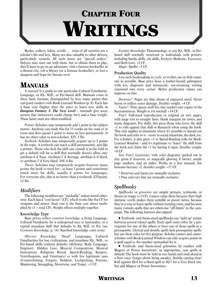# **CHAPTER FOUR** WRITINGS

Books, codices, folios, scrolls . . . texts of all varieties are a scholar's life and love. Many are also valuable to other delvers, particularly wizards. All such items are "special orders." Delvers may start out with them, but to obtain them in play, they'll have to go on an adventure: visit a famous bookseller in a distant city, rob a library (or a famous bookseller), or loot a dungeon and hope for literate orcs!

### **MANUALS**

A *manual* is a guide to one particular Cultural Familiarity, Language, or IQ-, Will-, or Per-based skill. Manuals come in three basic formats, distinguished by how many points they can grant readers with Book-Learned Wisdom (p. 8). Each has a base cost (higher than the price to learn new skills in *Dungeon Fantasy 3: The Next Level* – manuals give away secrets that instructors could charge for!) and a base weight. These latter stats are often modified.

*Primer:* Scholars may temporarily add 1 point in the subject matter. Anybody can study this for 15 weeks on the road or in town and then spend 1 point to learn its lore permanently. It has no other value to non-scholars. \$25, 3 lbs.

*Textbook:* Scholars may temporarily acquire up to 2 points in the topic. A textbook can teach a skill permanently, just like a primer. Those who lack the skill can consult it in the field to get a default roll for a skill that normally doesn't allow one: attribute-4 if Easy, attribute-5 if Average, attribute-6 if Hard, or attribute-7 if Very Hard. \$50, 6 lbs.

*Thesis:* Scholars may temporarily acquire however many points the book is rated for – at least 3 points and sometimes much more for skills, usually 6 points for Languages. For everyone else, this is no better than a textbook. \$25/point, 12 lbs.

#### *Modifiers*

The following modifiers are "stackable" unless noted otherwise. Each has a "cost factor" (CF), which works like the CF for weapons and armor: final cost is the base cost above multiplied by (1 + total CF). Weight effects multiply together.

#### **Knowledge Type**

Base prices reflect *common knowledge:* a living Language, Cultural Familiarity for a widespread race or nationality, or a typical mundane skill that defaults to IQ, Will, or Per (see *Common Knowledge,* p. 14). Rarefied knowledge costs more:

*Obscure Knowledge:* "Dead" Languages, Cultural Familiarities for lost civilizations, and mundane IQ-, Will-, or Per-based skills without defaults (Alchemy, Body Language, Engineer, Hidden Lore, Musical Composition, Musical Instrument, Religious Ritual, Speed-Reading, Surgery, Ventriloquism, and Veterinary) *or* with few legitimate uses (Counterfeiting, Forgery, Holdout, Lockpicking, Poisons, Shadowing, Smuggling, Streetwise, and Traps). +1 CF.

*Esoteric Knowledge:* Thaumatology, or any IQ-, Will-, or Perbased skill normally restricted to individuals with powers, including bardic skills, chi skills, Esoteric Medicine, Exorcism, and Herb Lore. +2 CF.

*Magic:* Spells! +3 CF.

#### **Production Quality**

Low-tech bookmaking is *costly,* so scribes use as little material as possible. Base price buys a leather-bound palimpsest with few diagrams and minuscule, eye-straining writing crammed into every corner. Better production values can improve on this:

*Dwarven\*:* Pages are thin sheets of engraved *metal.* Never burns or suffers water damage. *Doubles* weight. +4 CF.

*Faerie\*:* Thin, gauzy stuff lets tiny readers tote copies of the Necronomicon. Weight is *1/6* normal! +14 CF.

*Fine†*: Full-sized reproduction or original on new pages, with large text in straight lines, blank margins for notes, and many diagrams. For skills, this gives those who *know* the skill +1 to rolls against that skill or Research when using the book. This only applies in situations where it's possible to spread out the book and refer to it – never in social situations, the dark, etc. For scholars, it also gives +1 to Speed-Reading rolls for Book-Learned Wisdom – and it's legitimate to "learn" the skill from the book *and* claim the +1 for having it open. *Doubles* weight. +8 CF.

*Very Fine†: Luxurious,* with color diagrams (picked out in tiny gems if dwarven, or magically glowing if faerie), ample page markers, and an index. Works as a fine manual, but bonuses become +2. *Doubles* weight. +17 CF.

\* Dwarven and faerie are mutually exclusive.

† Fine and very fine are mutually exclusive.

#### *Spellbooks*

*Spellbooks* or *grimoires* are simply primers, textbooks, or theses on magic (+3 CF). Casters value them because their high intrinsic worth makes them suitable as power items, because they're a way to learn spells without training costs, and because many contain spells that are otherwise "off-limits" in the campaign. The following features also appeal:

• Textbook- and thesis-sized spellbooks can "split up" points between several *related* spells. Each spell must *either* be a prerequisite for one of the others *or* have one of those spells as a prerequisite. Clerical and druidic spells lack prerequisite spells, but use these rules for *this* purpose. Scholar-casters and casterscholars with Book-Learned Wisdom can only acquire points in a spell equal to the number earmarked for it.

• Textbook- and thesis-sized grimoires let readers with Magery or Power Investiture, as appropriate, cast spells at default! The book must be held in two hands and read aloud in a firm voice (forget about being sneaky). Double casting time! Roll against IQ-6 for a Hard spell or IQ-7 for a Very Hard one, but add Magery or Power Investiture.